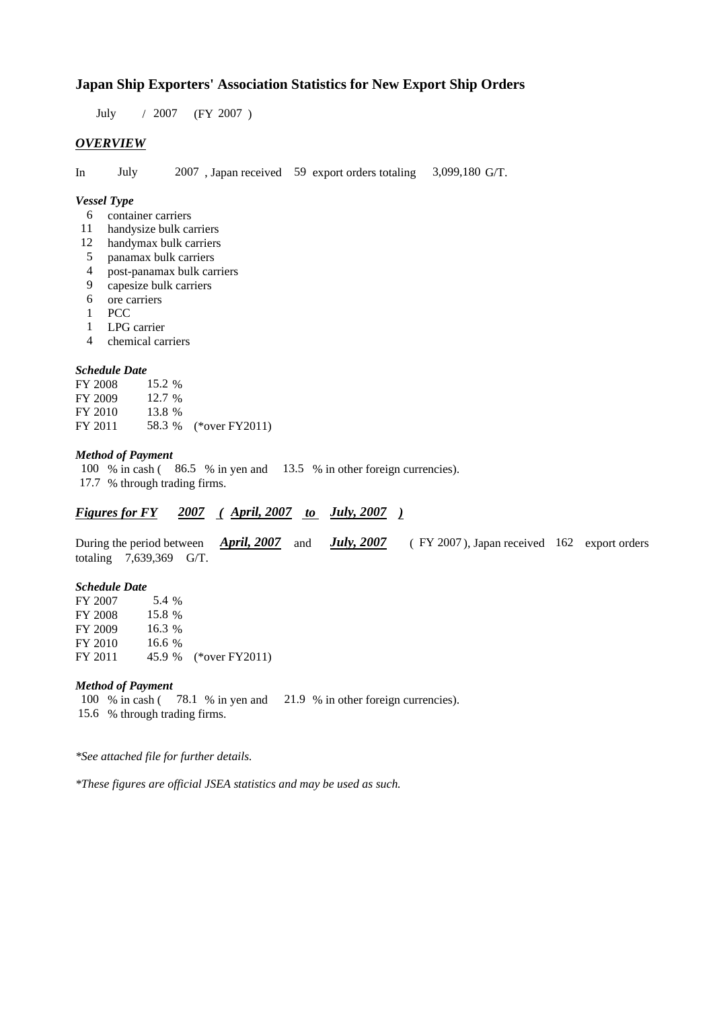### **Japan Ship Exporters' Association Statistics for New Export Ship Orders**

 $/ 2007$  (FY 2007) July 2007

### *OVERVIEW*

In July  $2007$ , Japan received 59 export orders totaling 3,099,180 G/T. July

#### *Vessel Type*

- container carriers 6
- 11 handysize bulk carriers
- handymax bulk carriers 12
- panamax bulk carriers 5
- post-panamax bulk carriers 4
- capesize bulk carriers 9
- 6 ore carriers
- PCC 1
- LPG carrier 1
- chemical carriers 4

#### *Schedule Date*

**FY 2008** FY 2009 FY 2010 FY 2011 58.3 % (\*over FY2011) 15.2 13.8 12.7 % 58.3

#### *Method of Payment*

100 % in cash (86.5 % in yen and 13.5 % in other foreign currencies). % through trading firms. 17.7

### *Figures for FY* 2007 (April, 2007 *to July, 2007*)

During the period between *April, 2007* and *July, 2007* (FY 2007), Japan received 162 export orders totaling  $7,639,369$  G/T. *April, 2007* and *July, 2007* 

#### *Schedule Date*

FY 2007 FY 2008 FY 2009 FY 2010 FY 2011 45.9 % (\*over FY2011) 5.4 % 16.6 45.9 15.8 % 16.3

#### *Method of Payment*

100 % in cash (78.1 % in yen and 21.9 % in other foreign currencies). % through trading firms. 15.6

*\*See attached file for further details.*

*\*These figures are official JSEA statistics and may be used as such.*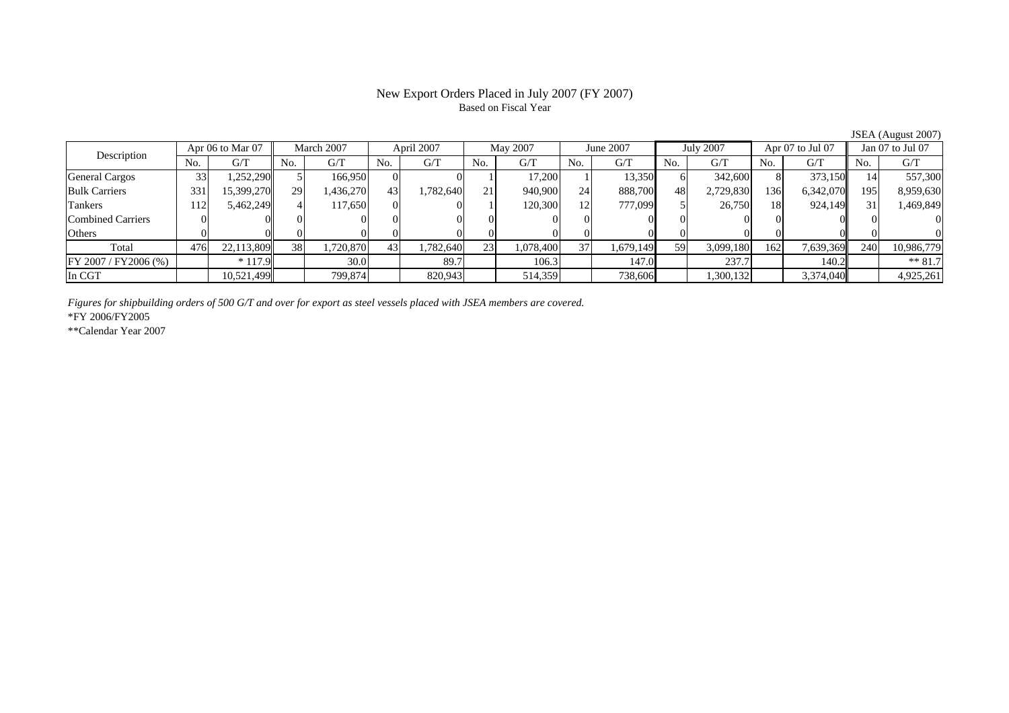# Based on Fiscal Year

No. G/T No. G/T No. G/T No. G/T No. G/T No. G/T No. G/T No. G/TGeneral Cargos ( 33 1,252,290 5 166,950 0 0 1 17,200 1 13,350 6 342,600 8 373,150 14 557,300 Bulk Carriers 331 15,399,270 29 1,436,270 43 1,782,640 21 940,900 24 888,700 48 2,729,830 136 6,342,070 195 8,959,630 Tankers | 112| 5,462,249|| 4| 117,650| 0| 0| 1| 120,300| 12| 777,099| 5| 26,750| 18| 924,149|| 31| 1,469,849 Combined Carriers 0 0 0 0 0 0 0 0 0 0 0 0 0 0 0 0Others 0 0 0 0 0 0 0 0 0 0 0 0 0 0 0 0 $\mathbf{0}$ Total 476 22,113,809 38 1,720,870 43 1,782,640 23 1,078,400 37 1,679,149 59 3,099,180 162 7,639,369 240 10,986,779  $\boxed{FY\,2007 \,/\,FY2006 \,(\%) }$  \* 117.9  $\boxed{ }$  30.0  $\boxed{ }$  89.7  $\boxed{ }$  106.3 147.0  $\boxed{ }$  237.7 140.2 \*\* 81.7 In CGT | | 10,521,499| | 799,874| | 820,943| | 514,359| | 738,606| | 1,300,132| | 3,374,040|| | 4,925,261 Description Apr 06 to Mar 07 March 2007 April 2007 May 2007<br>No. 6/T No. 6/T No. 6/T No. 6/T No. 6/T Apr 06 to Mar 07 | March 2007 | April 2007 | May 2007 | June 2007 | July 2007 | Apr 07 to Jul 07 | Jan 07 to Jul 07

*Figures for shipbuilding orders of 500 G/T and over for export as steel vessels placed with JSEA members are covered.*

\*FY 2006/FY2005

\*\*Calendar Year 2007

JSEA (August 2007)

# New Export Orders Placed in July 2007 (FY 2007)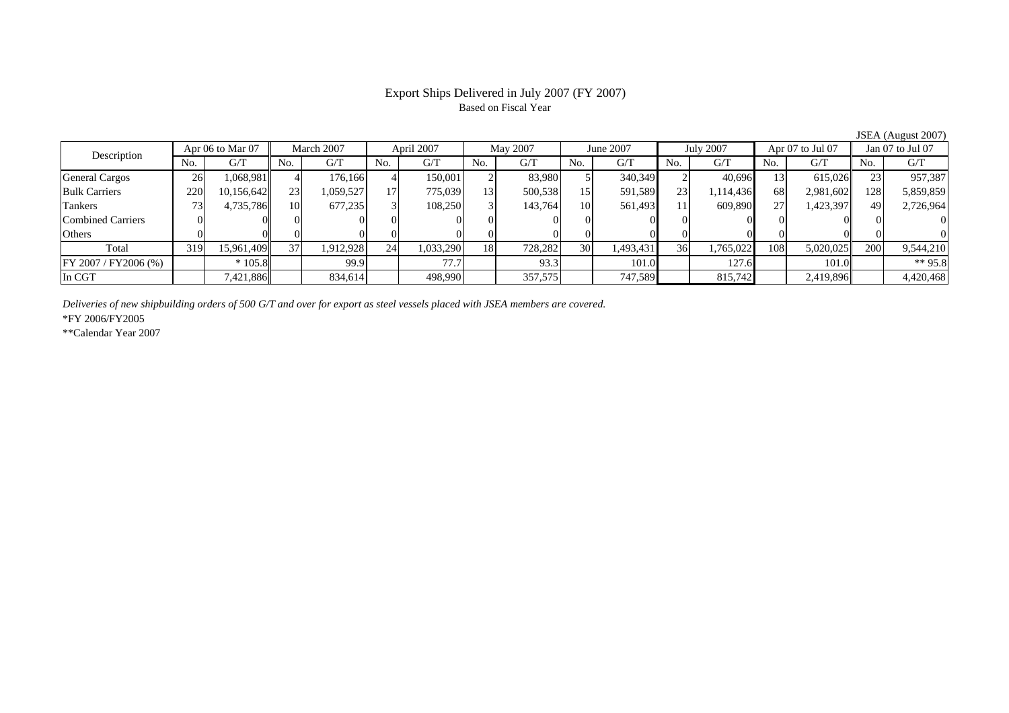# Based on Fiscal Year

No. I G/T II No. I G/T II No. I G/T II No. I G/T G/T II No. I G/T II No. I G/T II No. I G/T II No. I G/T II No  $\mathrm{G}/\mathrm{T}$ General Cargos 26 1,068,981 4 176,166 4 150,001 2 83,980 5 340,349 2 40,696 13 615,026 23 957,387 Bulk Carriers 220 10,156,642 23 1,059,527 17 775,039 13 500,538 15 591,589 23 1,114,436 68 2,981,602 128 5,859,859 Tankers | 73| 4,735,786|| 10| 677,235| 3| 108,250| 3| 143,764| 10| 561,493| 11| 609,890| 27| 1,423,397|| 49| 2,726,964 Combined Carriers 0 0 0 0 0 0 0 0 0 0 0 0 0 0 0 0Others | 0 | 0 | 0 | 0 | 0 | 0 | 0 | 0 | 0 | 0 | 0 | 0 Total 319 15,961,409 37 1,912,928 24 1,033,290 18 728,282 30 1,493,431 36 1,765,022 108 5,020,025 200 9,544,210 FY 2007 / FY2006 (%) \* 105.8 99.9 77.7 93.3 101.0 127.6 101.0 \*\* 95.8 In CGT | | 7,421,886|| | 834,614| | 498,990| | 357,575| | 747,589| | 815,742| | 2,419,896|| | 4,420,468 March 2007 April 2007 May 2007 Description Apr 06 to Mar 07 | March 2007 | April 2007 | May 2007 | June 2007 | July 2007 | Apr 07 to Jul 07 | Jan 07 to Jul 07

*Deliveries of new shipbuilding orders of 500 G/T and over for export as steel vessels placed with JSEA members are covered.*

\*FY 2006/FY2005

\*\*Calendar Year 2007

JSEA (August 2007)

# Export Ships Delivered in July 2007 (FY 2007)